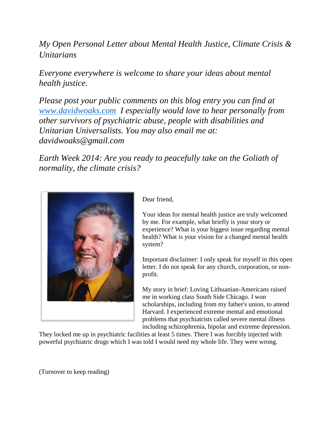*My Open Personal Letter about Mental Health Justice, Climate Crisis & Unitarians*

*Everyone everywhere is welcome to share your ideas about mental health justice.*

*Please post your public comments on this blog entry you can find at [www.davidwoaks.com](http://www.davidwoaks.com/) I especially would love to hear personally from other survivors of psychiatric abuse, people with disabilities and Unitarian Universalists. You may also email me at: davidwoaks@gmail.com*

*Earth Week 2014: Are you ready to peacefully take on the Goliath of normality, the climate crisis?*



Dear friend,

Your ideas for mental health justice are truly welcomed by me. For example, what briefly is your story or experience? What is your biggest issue regarding mental health? What is your vision for a changed mental health system?

Important disclaimer: I only speak for myself in this open letter. I do not speak for any church, corporation, or nonprofit.

My story in brief: Loving Lithuanian-Americans raised me in working class South Side Chicago. I won scholarships, including from my father's union, to attend Harvard. I experienced extreme mental and emotional problems that psychiatrists called severe mental illness including schizophrenia, bipolar and extreme depression.

They locked me up in psychiatric facilities at least 5 times. There I was forcibly injected with powerful psychiatric drugs which I was told I would need my whole life. They were wrong.

(Turnover to keep reading)